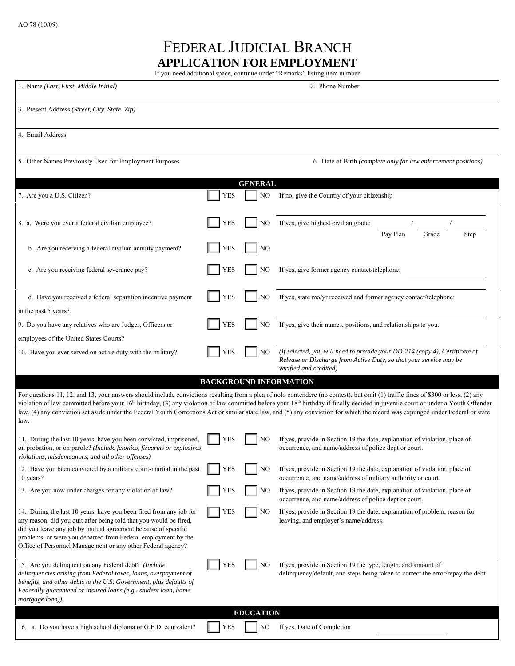## FEDERAL JUDICIAL BRANCH **APPLICATION FOR EMPLOYMENT**

If you need additional space, continue under "Remarks" listing item number

| 1. Name (Last, First, Middle Initial)                                                                                                                                                                                                                                                                                                     |            |                | 2. Phone Number                                                                                                                                                                                                                                                                                                                                                                                                                                                                                                                                               |  |  |
|-------------------------------------------------------------------------------------------------------------------------------------------------------------------------------------------------------------------------------------------------------------------------------------------------------------------------------------------|------------|----------------|---------------------------------------------------------------------------------------------------------------------------------------------------------------------------------------------------------------------------------------------------------------------------------------------------------------------------------------------------------------------------------------------------------------------------------------------------------------------------------------------------------------------------------------------------------------|--|--|
| 3. Present Address (Street, City, State, Zip)                                                                                                                                                                                                                                                                                             |            |                |                                                                                                                                                                                                                                                                                                                                                                                                                                                                                                                                                               |  |  |
| 4. Email Address                                                                                                                                                                                                                                                                                                                          |            |                |                                                                                                                                                                                                                                                                                                                                                                                                                                                                                                                                                               |  |  |
| 5. Other Names Previously Used for Employment Purposes                                                                                                                                                                                                                                                                                    |            |                | 6. Date of Birth (complete only for law enforcement positions)                                                                                                                                                                                                                                                                                                                                                                                                                                                                                                |  |  |
|                                                                                                                                                                                                                                                                                                                                           |            | <b>GENERAL</b> |                                                                                                                                                                                                                                                                                                                                                                                                                                                                                                                                                               |  |  |
| 7. Are you a U.S. Citizen?                                                                                                                                                                                                                                                                                                                | <b>YES</b> | NO             | If no, give the Country of your citizenship                                                                                                                                                                                                                                                                                                                                                                                                                                                                                                                   |  |  |
| 8. a. Were you ever a federal civilian employee?                                                                                                                                                                                                                                                                                          | <b>YES</b> | NO             | If yes, give highest civilian grade:<br>Pay Plan<br>Grade<br>Step                                                                                                                                                                                                                                                                                                                                                                                                                                                                                             |  |  |
| b. Are you receiving a federal civilian annuity payment?                                                                                                                                                                                                                                                                                  | <b>YES</b> | NO             |                                                                                                                                                                                                                                                                                                                                                                                                                                                                                                                                                               |  |  |
| c. Are you receiving federal severance pay?                                                                                                                                                                                                                                                                                               | <b>YES</b> | NO             | If yes, give former agency contact/telephone:                                                                                                                                                                                                                                                                                                                                                                                                                                                                                                                 |  |  |
| d. Have you received a federal separation incentive payment<br>in the past 5 years?                                                                                                                                                                                                                                                       | <b>YES</b> | N <sub>O</sub> | If yes, state mo/yr received and former agency contact/telephone:                                                                                                                                                                                                                                                                                                                                                                                                                                                                                             |  |  |
| 9. Do you have any relatives who are Judges, Officers or                                                                                                                                                                                                                                                                                  | <b>YES</b> | N <sub>O</sub> | If yes, give their names, positions, and relationships to you.                                                                                                                                                                                                                                                                                                                                                                                                                                                                                                |  |  |
|                                                                                                                                                                                                                                                                                                                                           |            |                |                                                                                                                                                                                                                                                                                                                                                                                                                                                                                                                                                               |  |  |
| employees of the United States Courts?<br>10. Have you ever served on active duty with the military?                                                                                                                                                                                                                                      | <b>YES</b> | N <sub>O</sub> | (If selected, you will need to provide your DD-214 (copy 4), Certificate of<br>Release or Discharge from Active Duty, so that your service may be<br>verified and credited)                                                                                                                                                                                                                                                                                                                                                                                   |  |  |
|                                                                                                                                                                                                                                                                                                                                           |            |                | <b>BACKGROUND INFORMATION</b>                                                                                                                                                                                                                                                                                                                                                                                                                                                                                                                                 |  |  |
| law.                                                                                                                                                                                                                                                                                                                                      |            |                | For questions 11, 12, and 13, your answers should include convictions resulting from a plea of nolo contendere (no contest), but omit (1) traffic fines of \$300 or less, (2) any<br>violation of law committed before your $16th$ birthday, (3) any violation of law committed before your $18th$ birthday if finally decided in juvenile court or under a Youth Offender<br>law, (4) any conviction set aside under the Federal Youth Corrections Act or similar state law, and (5) any conviction for which the record was expunged under Federal or state |  |  |
| 11. During the last 10 years, have you been convicted, imprisoned,<br>on probation, or on parole? (Include felonies, firearms or explosives<br>violations, misdemeanors, and all other offenses)                                                                                                                                          | <b>YES</b> | NO             | If yes, provide in Section 19 the date, explanation of violation, place of<br>occurrence, and name/address of police dept or court.                                                                                                                                                                                                                                                                                                                                                                                                                           |  |  |
| 12. Have you been convicted by a military court-martial in the past<br>10 years?                                                                                                                                                                                                                                                          | <b>YES</b> | NO             | If yes, provide in Section 19 the date, explanation of violation, place of<br>occurrence, and name/address of military authority or court.                                                                                                                                                                                                                                                                                                                                                                                                                    |  |  |
| 13. Are you now under charges for any violation of law?                                                                                                                                                                                                                                                                                   | <b>YES</b> | NO             | If yes, provide in Section 19 the date, explanation of violation, place of<br>occurrence, and name/address of police dept or court.                                                                                                                                                                                                                                                                                                                                                                                                                           |  |  |
| 14. During the last 10 years, have you been fired from any job for<br>any reason, did you quit after being told that you would be fired,<br>did you leave any job by mutual agreement because of specific<br>problems, or were you debarred from Federal employment by the<br>Office of Personnel Management or any other Federal agency? | <b>YES</b> | NO             | If yes, provide in Section 19 the date, explanation of problem, reason for<br>leaving, and employer's name/address.                                                                                                                                                                                                                                                                                                                                                                                                                                           |  |  |
| 15. Are you delinquent on any Federal debt? (Include<br>delinquencies arising from Federal taxes, loans, overpayment of<br>benefits, and other debts to the U.S. Government, plus defaults of<br>Federally guaranteed or insured loans (e.g., student loan, home<br>mortgage loan)).                                                      | YES        | NO             | If yes, provide in Section 19 the type, length, and amount of<br>delinquency/default, and steps being taken to correct the error/repay the debt.                                                                                                                                                                                                                                                                                                                                                                                                              |  |  |
| <b>EDUCATION</b>                                                                                                                                                                                                                                                                                                                          |            |                |                                                                                                                                                                                                                                                                                                                                                                                                                                                                                                                                                               |  |  |
| 16. a. Do you have a high school diploma or G.E.D. equivalent?                                                                                                                                                                                                                                                                            | <b>YES</b> | NO             | If yes, Date of Completion                                                                                                                                                                                                                                                                                                                                                                                                                                                                                                                                    |  |  |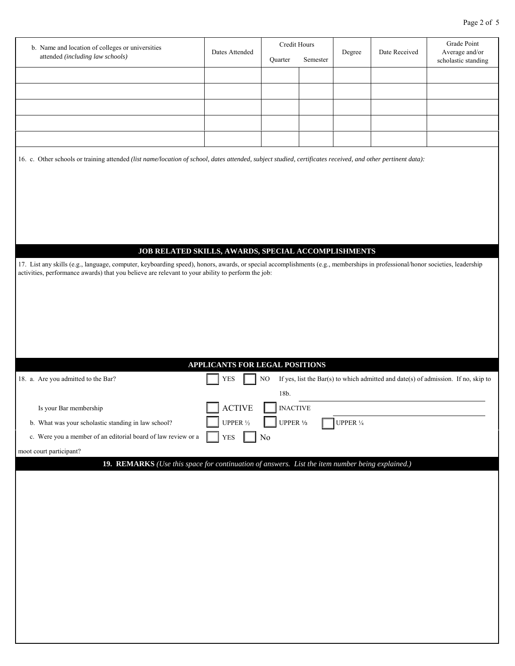| b. Name and location of colleges or universities                                                                                                                             |                                | Credit Hours    |          |                     |               | Grade Point                                                                        |  |
|------------------------------------------------------------------------------------------------------------------------------------------------------------------------------|--------------------------------|-----------------|----------|---------------------|---------------|------------------------------------------------------------------------------------|--|
| attended (including law schools)                                                                                                                                             | Dates Attended                 |                 |          | Degree              | Date Received | Average and/or                                                                     |  |
|                                                                                                                                                                              |                                | Quarter         | Semester |                     |               | scholastic standing                                                                |  |
|                                                                                                                                                                              |                                |                 |          |                     |               |                                                                                    |  |
|                                                                                                                                                                              |                                |                 |          |                     |               |                                                                                    |  |
|                                                                                                                                                                              |                                |                 |          |                     |               |                                                                                    |  |
|                                                                                                                                                                              |                                |                 |          |                     |               |                                                                                    |  |
|                                                                                                                                                                              |                                |                 |          |                     |               |                                                                                    |  |
|                                                                                                                                                                              |                                |                 |          |                     |               |                                                                                    |  |
|                                                                                                                                                                              |                                |                 |          |                     |               |                                                                                    |  |
| 16. c. Other schools or training attended (list name/location of school, dates attended, subject studied, certificates received, and other pertinent data):                  |                                |                 |          |                     |               |                                                                                    |  |
|                                                                                                                                                                              |                                |                 |          |                     |               |                                                                                    |  |
|                                                                                                                                                                              |                                |                 |          |                     |               |                                                                                    |  |
|                                                                                                                                                                              |                                |                 |          |                     |               |                                                                                    |  |
|                                                                                                                                                                              |                                |                 |          |                     |               |                                                                                    |  |
|                                                                                                                                                                              |                                |                 |          |                     |               |                                                                                    |  |
|                                                                                                                                                                              |                                |                 |          |                     |               |                                                                                    |  |
|                                                                                                                                                                              |                                |                 |          |                     |               |                                                                                    |  |
|                                                                                                                                                                              |                                |                 |          |                     |               |                                                                                    |  |
| JOB RELATED SKILLS, AWARDS, SPECIAL ACCOMPLISHMENTS                                                                                                                          |                                |                 |          |                     |               |                                                                                    |  |
| 17. List any skills (e.g., language, computer, keyboarding speed), honors, awards, or special accomplishments (e.g., memberships in professional/honor societies, leadership |                                |                 |          |                     |               |                                                                                    |  |
| activities, performance awards) that you believe are relevant to your ability to perform the job:                                                                            |                                |                 |          |                     |               |                                                                                    |  |
|                                                                                                                                                                              |                                |                 |          |                     |               |                                                                                    |  |
|                                                                                                                                                                              |                                |                 |          |                     |               |                                                                                    |  |
|                                                                                                                                                                              |                                |                 |          |                     |               |                                                                                    |  |
|                                                                                                                                                                              |                                |                 |          |                     |               |                                                                                    |  |
|                                                                                                                                                                              |                                |                 |          |                     |               |                                                                                    |  |
|                                                                                                                                                                              |                                |                 |          |                     |               |                                                                                    |  |
|                                                                                                                                                                              |                                |                 |          |                     |               |                                                                                    |  |
|                                                                                                                                                                              | APPLICANTS FOR LEGAL POSITIONS |                 |          |                     |               |                                                                                    |  |
| 18. a. Are you admitted to the Bar?                                                                                                                                          | <b>YES</b>                     | NO              |          |                     |               | If yes, list the Bar(s) to which admitted and date(s) of admission. If no, skip to |  |
|                                                                                                                                                                              |                                |                 |          |                     |               |                                                                                    |  |
|                                                                                                                                                                              |                                | 18b.            |          |                     |               |                                                                                    |  |
| Is your Bar membership                                                                                                                                                       | <b>ACTIVE</b>                  | <b>INACTIVE</b> |          |                     |               |                                                                                    |  |
| b. What was your scholastic standing in law school?                                                                                                                          | UPPER $\frac{1}{2}$            | UPPER $1/3$     |          |                     |               |                                                                                    |  |
|                                                                                                                                                                              |                                |                 |          | UPPER $\frac{1}{4}$ |               |                                                                                    |  |
| c. Were you a member of an editorial board of law review or a                                                                                                                | <b>YES</b>                     | N <sub>0</sub>  |          |                     |               |                                                                                    |  |
| moot court participant?                                                                                                                                                      |                                |                 |          |                     |               |                                                                                    |  |
| 19. REMARKS (Use this space for continuation of answers. List the item number being explained.)                                                                              |                                |                 |          |                     |               |                                                                                    |  |
|                                                                                                                                                                              |                                |                 |          |                     |               |                                                                                    |  |
|                                                                                                                                                                              |                                |                 |          |                     |               |                                                                                    |  |
|                                                                                                                                                                              |                                |                 |          |                     |               |                                                                                    |  |
|                                                                                                                                                                              |                                |                 |          |                     |               |                                                                                    |  |
|                                                                                                                                                                              |                                |                 |          |                     |               |                                                                                    |  |
|                                                                                                                                                                              |                                |                 |          |                     |               |                                                                                    |  |
|                                                                                                                                                                              |                                |                 |          |                     |               |                                                                                    |  |
|                                                                                                                                                                              |                                |                 |          |                     |               |                                                                                    |  |
|                                                                                                                                                                              |                                |                 |          |                     |               |                                                                                    |  |
|                                                                                                                                                                              |                                |                 |          |                     |               |                                                                                    |  |
|                                                                                                                                                                              |                                |                 |          |                     |               |                                                                                    |  |
|                                                                                                                                                                              |                                |                 |          |                     |               |                                                                                    |  |
|                                                                                                                                                                              |                                |                 |          |                     |               |                                                                                    |  |
|                                                                                                                                                                              |                                |                 |          |                     |               |                                                                                    |  |
|                                                                                                                                                                              |                                |                 |          |                     |               |                                                                                    |  |
|                                                                                                                                                                              |                                |                 |          |                     |               |                                                                                    |  |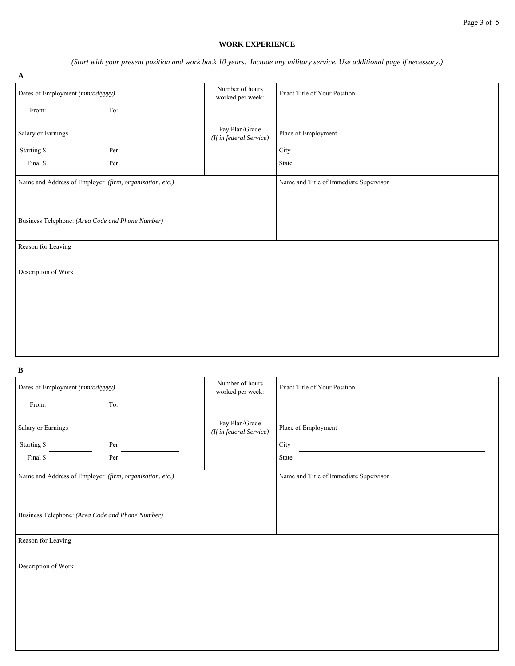## **WORK EXPERIENCE**

*(Start with your present position and work back 10 years. Include any military service. Use additional page if necessary.)*

| $\mathbf A$                      |                                                         |                                           |                                        |  |
|----------------------------------|---------------------------------------------------------|-------------------------------------------|----------------------------------------|--|
| Dates of Employment (mm/dd/yyyy) |                                                         | Number of hours<br>worked per week:       | Exact Title of Your Position           |  |
| From:                            | To:                                                     |                                           |                                        |  |
| Salary or Earnings               |                                                         | Pay Plan/Grade<br>(If in federal Service) | Place of Employment                    |  |
| Starting \$                      | Per                                                     |                                           | City                                   |  |
| Final \$                         | Per                                                     |                                           | State                                  |  |
|                                  | Name and Address of Employer (firm, organization, etc.) |                                           | Name and Title of Immediate Supervisor |  |
|                                  |                                                         |                                           |                                        |  |
|                                  |                                                         |                                           |                                        |  |
|                                  | Business Telephone: (Area Code and Phone Number)        |                                           |                                        |  |
| Reason for Leaving               |                                                         |                                           |                                        |  |
| Description of Work              |                                                         |                                           |                                        |  |
|                                  |                                                         |                                           |                                        |  |
|                                  |                                                         |                                           |                                        |  |
|                                  |                                                         |                                           |                                        |  |
|                                  |                                                         |                                           |                                        |  |
|                                  |                                                         |                                           |                                        |  |

**B**

| Dates of Employment (mm/dd/yyyy)                 |                                                         | Number of hours<br>worked per week:       | Exact Title of Your Position           |
|--------------------------------------------------|---------------------------------------------------------|-------------------------------------------|----------------------------------------|
| From:                                            | To:                                                     |                                           |                                        |
| Salary or Earnings                               |                                                         | Pay Plan/Grade<br>(If in federal Service) | Place of Employment                    |
| Starting \$                                      | Per                                                     |                                           | City                                   |
| Final \$                                         | Per                                                     |                                           | State                                  |
|                                                  | Name and Address of Employer (firm, organization, etc.) |                                           | Name and Title of Immediate Supervisor |
|                                                  |                                                         |                                           |                                        |
|                                                  |                                                         |                                           |                                        |
| Business Telephone: (Area Code and Phone Number) |                                                         |                                           |                                        |
| Reason for Leaving                               |                                                         |                                           |                                        |
|                                                  |                                                         |                                           |                                        |
| Description of Work                              |                                                         |                                           |                                        |
|                                                  |                                                         |                                           |                                        |
|                                                  |                                                         |                                           |                                        |
|                                                  |                                                         |                                           |                                        |
|                                                  |                                                         |                                           |                                        |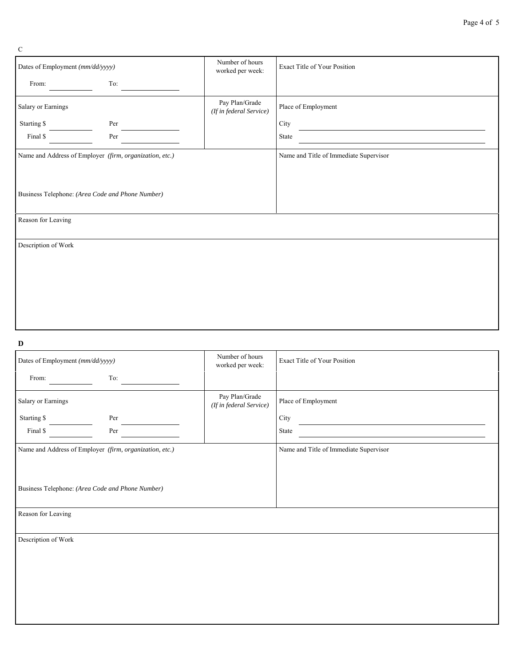Page 4 of 5

| Dates of Employment (mm/dd/yyyy) |                                                         | Number of hours<br>worked per week:       | <b>Exact Title of Your Position</b>                                                     |
|----------------------------------|---------------------------------------------------------|-------------------------------------------|-----------------------------------------------------------------------------------------|
| From:                            | To:                                                     |                                           |                                                                                         |
| Salary or Earnings               |                                                         | Pay Plan/Grade<br>(If in federal Service) | Place of Employment                                                                     |
| Starting \$                      | Per                                                     |                                           | City                                                                                    |
| Final \$                         | Per                                                     |                                           | State<br><u> 1980 - Johann Barn, mars an t-Amerikaansk ferske område og de formanne</u> |
|                                  | Name and Address of Employer (firm, organization, etc.) |                                           | Name and Title of Immediate Supervisor                                                  |
|                                  |                                                         |                                           |                                                                                         |
|                                  | Business Telephone: (Area Code and Phone Number)        |                                           |                                                                                         |
| Reason for Leaving               |                                                         |                                           |                                                                                         |
| Description of Work              |                                                         |                                           |                                                                                         |
|                                  |                                                         |                                           |                                                                                         |
|                                  |                                                         |                                           |                                                                                         |
|                                  |                                                         |                                           |                                                                                         |
|                                  |                                                         |                                           |                                                                                         |
|                                  |                                                         |                                           |                                                                                         |

## **D**

| Dates of Employment (mm/dd/yyyy) |                                                         | Number of hours<br>worked per week:       | <b>Exact Title of Your Position</b>    |
|----------------------------------|---------------------------------------------------------|-------------------------------------------|----------------------------------------|
| From:                            | To:                                                     |                                           |                                        |
| Salary or Earnings               |                                                         | Pay Plan/Grade<br>(If in federal Service) | Place of Employment                    |
| Starting \$                      | Per                                                     |                                           | City                                   |
| Final \$                         | Per                                                     |                                           | State                                  |
|                                  | Name and Address of Employer (firm, organization, etc.) |                                           | Name and Title of Immediate Supervisor |
|                                  | Business Telephone: (Area Code and Phone Number)        |                                           |                                        |
| Reason for Leaving               |                                                         |                                           |                                        |
| Description of Work              |                                                         |                                           |                                        |

 $\mathbf C$